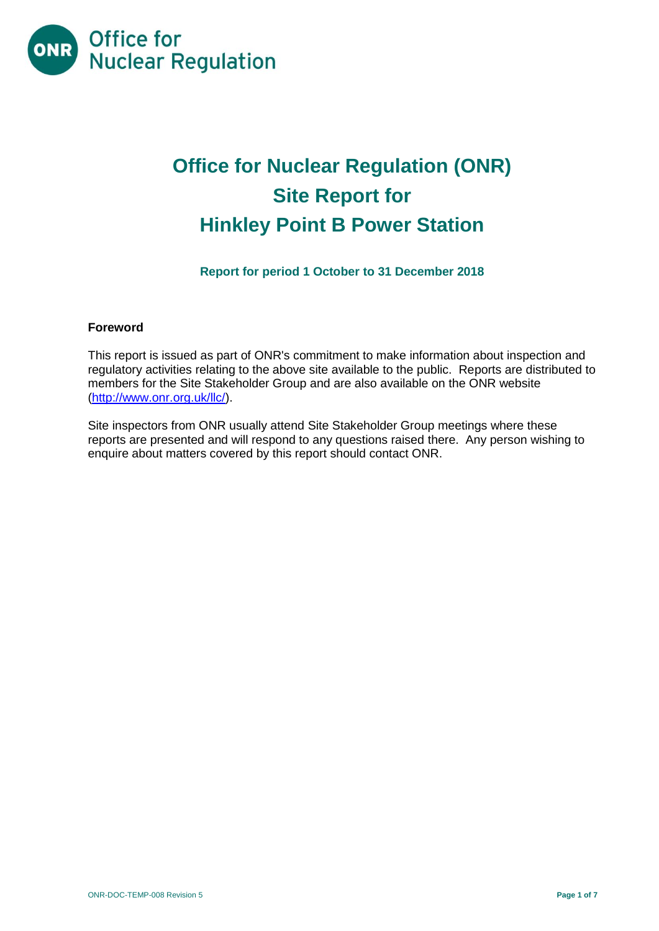

# **Office for Nuclear Regulation (ONR) Site Report for Hinkley Point B Power Station**

**Report for period 1 October to 31 December 2018**

# **Foreword**

This report is issued as part of ONR's commitment to make information about inspection and regulatory activities relating to the above site available to the public. Reports are distributed to members for the Site Stakeholder Group and are also available on the ONR website [\(http://www.onr.org.uk/llc/\)](http://www.onr.org.uk/llc/).

Site inspectors from ONR usually attend Site Stakeholder Group meetings where these reports are presented and will respond to any questions raised there. Any person wishing to enquire about matters covered by this report should contact ONR.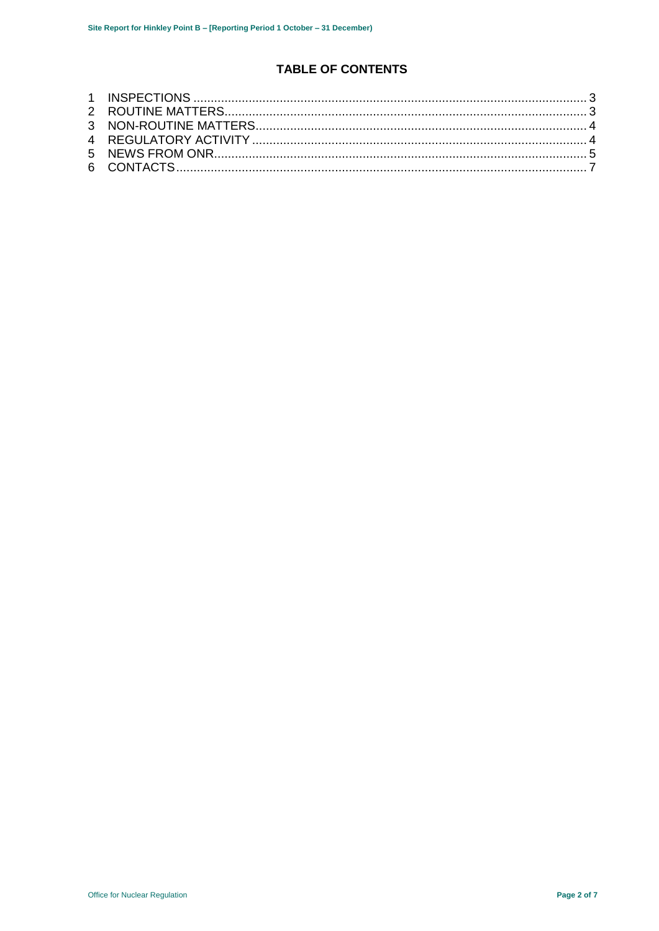# **TABLE OF CONTENTS**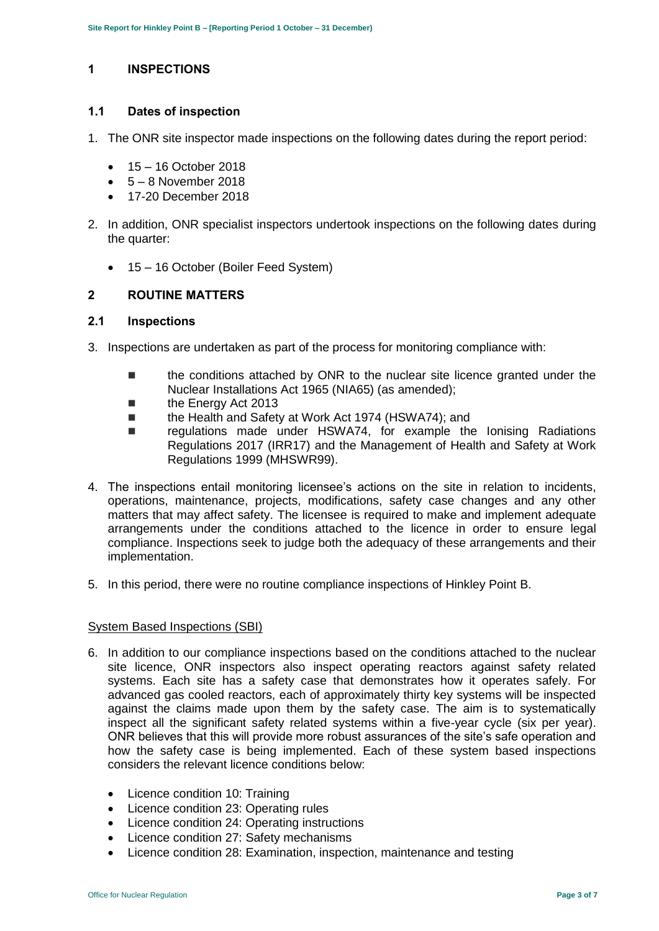# <span id="page-2-0"></span>**1 INSPECTIONS**

#### **1.1 Dates of inspection**

- 1. The ONR site inspector made inspections on the following dates during the report period:
	- $-15 16$  October 2018
	- $-5 8$  November 2018
	- 17-20 December 2018
- 2. In addition, ONR specialist inspectors undertook inspections on the following dates during the quarter:
	- 15 16 October (Boiler Feed System)

#### <span id="page-2-1"></span>**2 ROUTINE MATTERS**

### **2.1 Inspections**

- 3. Inspections are undertaken as part of the process for monitoring compliance with:
	- the conditions attached by ONR to the nuclear site licence granted under the Nuclear Installations Act 1965 (NIA65) (as amended);
	- the Energy Act 2013
	- the Health and Safety at Work Act 1974 (HSWA74); and
	- regulations made under HSWA74, for example the Ionising Radiations Regulations 2017 (IRR17) and the Management of Health and Safety at Work Regulations 1999 (MHSWR99).
- 4. The inspections entail monitoring licensee's actions on the site in relation to incidents, operations, maintenance, projects, modifications, safety case changes and any other matters that may affect safety. The licensee is required to make and implement adequate arrangements under the conditions attached to the licence in order to ensure legal compliance. Inspections seek to judge both the adequacy of these arrangements and their implementation.
- 5. In this period, there were no routine compliance inspections of Hinkley Point B.

#### System Based Inspections (SBI)

- 6. In addition to our compliance inspections based on the conditions attached to the nuclear site licence, ONR inspectors also inspect operating reactors against safety related systems. Each site has a safety case that demonstrates how it operates safely. For advanced gas cooled reactors, each of approximately thirty key systems will be inspected against the claims made upon them by the safety case. The aim is to systematically inspect all the significant safety related systems within a five-year cycle (six per year). ONR believes that this will provide more robust assurances of the site's safe operation and how the safety case is being implemented. Each of these system based inspections considers the relevant licence conditions below:
	- Licence condition 10: Training
	- Licence condition 23: Operating rules
	- Licence condition 24: Operating instructions
	- Licence condition 27: Safety mechanisms
	- Licence condition 28: Examination, inspection, maintenance and testing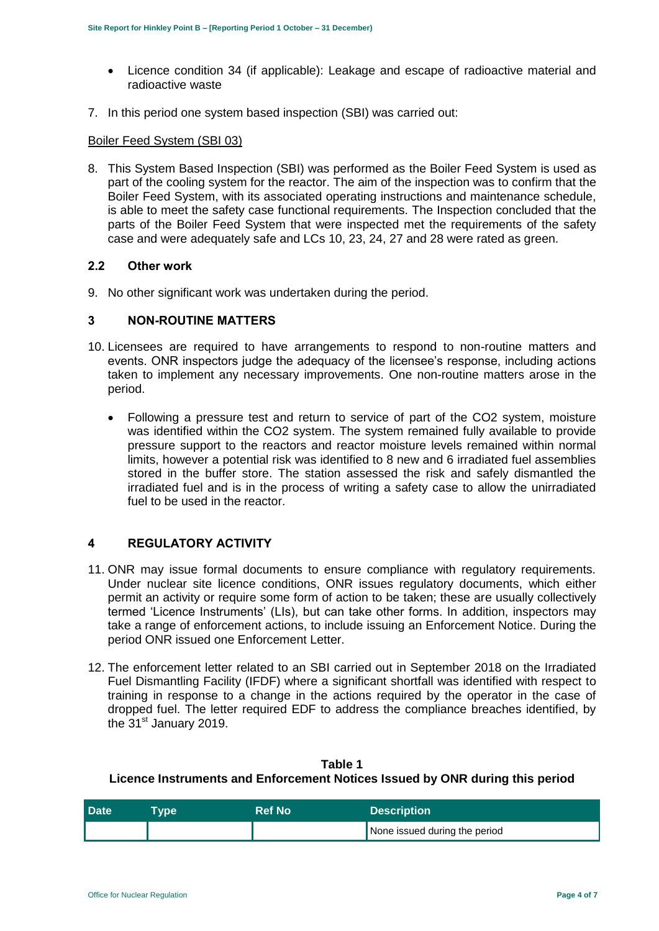- Licence condition 34 (if applicable): Leakage and escape of radioactive material and radioactive waste
- 7. In this period one system based inspection (SBI) was carried out:

#### Boiler Feed System (SBI 03)

8. This System Based Inspection (SBI) was performed as the Boiler Feed System is used as part of the cooling system for the reactor. The aim of the inspection was to confirm that the Boiler Feed System, with its associated operating instructions and maintenance schedule, is able to meet the safety case functional requirements. The Inspection concluded that the parts of the Boiler Feed System that were inspected met the requirements of the safety case and were adequately safe and LCs 10, 23, 24, 27 and 28 were rated as green.

#### **2.2 Other work**

9. No other significant work was undertaken during the period.

#### <span id="page-3-0"></span>**3 NON-ROUTINE MATTERS**

- 10. Licensees are required to have arrangements to respond to non-routine matters and events. ONR inspectors judge the adequacy of the licensee's response, including actions taken to implement any necessary improvements. One non-routine matters arose in the period.
	- Following a pressure test and return to service of part of the CO2 system, moisture was identified within the CO2 system. The system remained fully available to provide pressure support to the reactors and reactor moisture levels remained within normal limits, however a potential risk was identified to 8 new and 6 irradiated fuel assemblies stored in the buffer store. The station assessed the risk and safely dismantled the irradiated fuel and is in the process of writing a safety case to allow the unirradiated fuel to be used in the reactor.

#### <span id="page-3-1"></span>**4 REGULATORY ACTIVITY**

- 11. ONR may issue formal documents to ensure compliance with regulatory requirements. Under nuclear site licence conditions, ONR issues regulatory documents, which either permit an activity or require some form of action to be taken; these are usually collectively termed 'Licence Instruments' (LIs), but can take other forms. In addition, inspectors may take a range of enforcement actions, to include issuing an Enforcement Notice. During the period ONR issued one Enforcement Letter.
- 12. The enforcement letter related to an SBI carried out in September 2018 on the Irradiated Fuel Dismantling Facility (IFDF) where a significant shortfall was identified with respect to training in response to a change in the actions required by the operator in the case of dropped fuel. The letter required EDF to address the compliance breaches identified, by the 31<sup>st</sup> January 2019.

# **Table 1 Licence Instruments and Enforcement Notices Issued by ONR during this period**

| <b>Date</b> | <b>Type</b> | <b>Ref No</b> | <b>Description</b>            |
|-------------|-------------|---------------|-------------------------------|
|             |             |               | None issued during the period |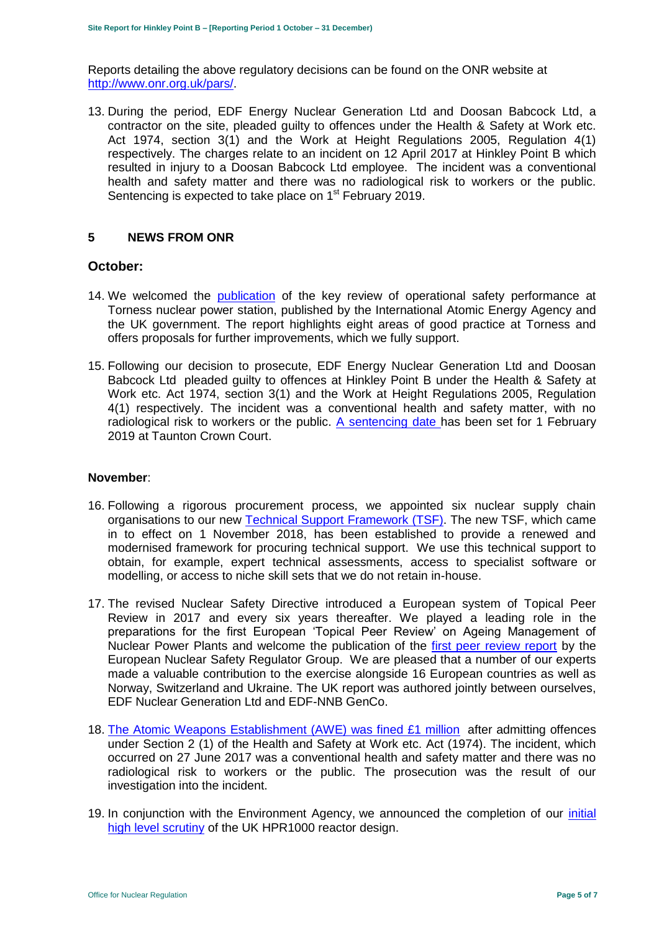Reports detailing the above regulatory decisions can be found on the ONR website at [http://www.onr.org.uk/pars/.](http://www.onr.org.uk/pars/)

13. During the period, EDF Energy Nuclear Generation Ltd and Doosan Babcock Ltd, a contractor on the site, pleaded guilty to offences under the Health & Safety at Work etc. Act 1974, section 3(1) and the Work at Height Regulations 2005, Regulation 4(1) respectively. The charges [relate to an incident on 12 April 2017 at Hinkley Point B](http://news.onr.org.uk/2017/07/improvement-notices-served-on-edf-and-doosan-babcock/) which resulted in injury to a Doosan Babcock Ltd employee. The incident was a conventional health and safety matter and there was no radiological risk to workers or the public. [Sentencing is expected to take place](https://www.edfenergy.com/energy) on 1<sup>st</sup> February 2019.

#### <span id="page-4-0"></span>**5 NEWS FROM ONR**

#### **October:**

- 14. We welcomed the [publication](http://news.onr.org.uk/2018/10/iaea-review-torness-power-station/) of the key review of operational safety performance at Torness nuclear power station, published by the International Atomic Energy Agency and the UK government. The report highlights eight areas of good practice at Torness and offers proposals for further improvements, which we fully support.
- 15. Following our decision to prosecute, EDF Energy Nuclear Generation Ltd and Doosan Babcock Ltd pleaded guilty to offences at Hinkley Point B under the Health & Safety at Work etc. Act 1974, section 3(1) and the Work at Height Regulations 2005, Regulation 4(1) respectively. The incident was a conventional health and safety matter, with no radiological risk to workers or the public. [A sentencing date](http://news.onr.org.uk/2018/10/edf-and-doosan-babcock-plead-guilty/) has been set for 1 February 2019 at Taunton Crown Court.

#### **November**:

- 16. Following a rigorous procurement process, we appointed six nuclear supply chain organisations to our new [Technical Support](http://news.onr.org.uk/2018/11/new-technical-support-framework-announced/) Framework (TSF). The new TSF, which came in to effect on 1 November 2018, has been established to provide a renewed and modernised framework for procuring technical support. We use this technical support to obtain, for example, expert technical assessments, access to specialist software or modelling, or access to niche skill sets that we do not retain in-house.
- 17. The revised Nuclear Safety Directive introduced a European system of Topical Peer Review in 2017 and every six years thereafter. We played a leading role in the preparations for the first European 'Topical Peer Review' on Ageing Management of Nuclear Power Plants and welcome the publication of the [first peer review report](http://news.onr.org.uk/2018/11/onr-welcomes-first-topical-peer-review/) by the European Nuclear Safety Regulator Group. We are pleased that a number of our experts made a valuable contribution to the exercise alongside 16 European countries as well as Norway, Switzerland and Ukraine. The UK report was authored jointly between ourselves, EDF Nuclear Generation Ltd and EDF-NNB GenCo.
- 18. [The Atomic Weapons Establishment \(AWE\) was fined £1 million](http://news.onr.org.uk/2018/11/awe-prosecution-reaction/) after admitting offences under Section 2 (1) of the Health and Safety at Work etc. Act (1974). The incident, which occurred on 27 June 2017 was a conventional health and safety matter and there was no radiological risk to workers or the public. The prosecution was the result of our investigation into the incident.
- 19. In conjunction with the Environment Agency, we announced the completion of our *initial* [high level scrutiny](http://news.onr.org.uk/2018/11/uk-hpr1000-completes-gda-step-2/) of the UK HPR1000 reactor design.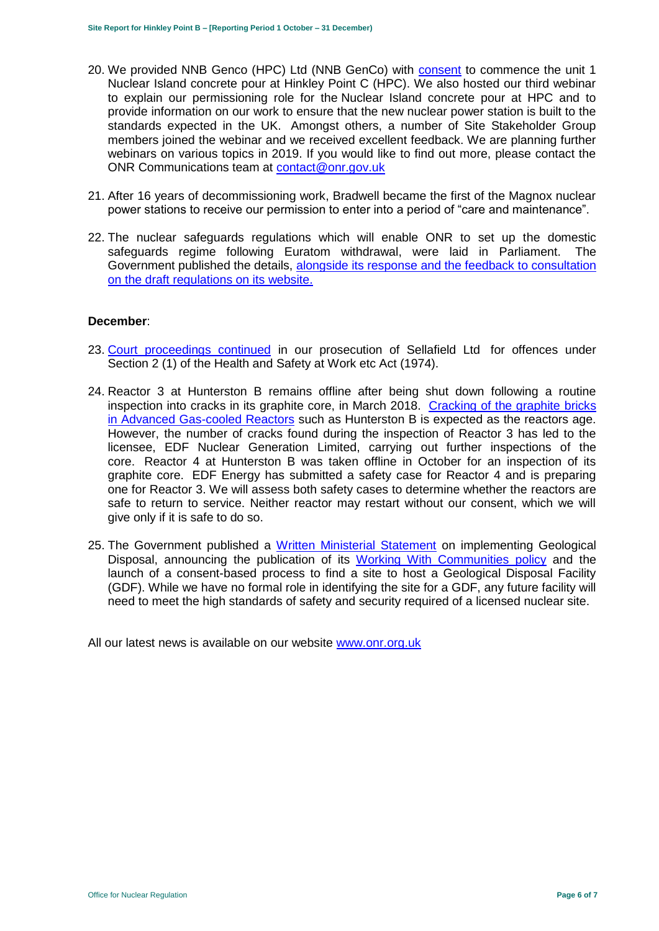- 20. We provided NNB Genco (HPC) Ltd (NNB GenCo) with [consent](http://news.onr.org.uk/2018/11/consent-for-hinkley-point-c-nuclear-island-concrete-pour/) to commence the unit 1 Nuclear Island concrete pour at Hinkley Point C (HPC). We also hosted our third webinar to explain our permissioning role for the Nuclear Island concrete pour at HPC and to provide information on our work to ensure that the new nuclear power station is built to the standards expected in the UK. Amongst others, a number of Site Stakeholder Group members joined the webinar and we received excellent feedback. We are planning further webinars on various topics in 2019. If you would like to find out more, please contact the ONR Communications team at [contact@onr.gov.uk](mailto:contact@onr.gov.uk)
- 21. After 16 years of decommissioning work, Bradwell became the first of the Magnox nuclear power stations to receive our permission to enter into a period of "care and maintenance".
- 22. The nuclear safeguards regulations which will enable ONR to set up the domestic safeguards regime following Euratom withdrawal, were laid in Parliament. The Government published the details, [alongside its response and the feedback to consultation](https://www.gov.uk/government/consultations/nuclear-safeguards-regulations)  [on the draft regulations on its website.](https://www.gov.uk/government/consultations/nuclear-safeguards-regulations)

#### **December**:

- 23. [Court proceedings continued](http://news.onr.org.uk/2018/12/prosecution-of-sellafield-ltd/) in our [prosecution of Sellafield Ltd](http://news.onr.org.uk/2018/07/update-prosecution-of-sellafield-ltd/) for offences under Section 2 (1) of the Health and Safety at Work etc Act (1974).
- 24. Reactor 3 at Hunterston B remains offline after being shut down following a routine inspection into cracks in its graphite core, in March 2018. [Cracking of the graphite](http://www.onr.org.uk/civil-nuclear-reactors/graphite-core-of-agrs.htm) bricks [in Advanced Gas-cooled Reactors](http://www.onr.org.uk/civil-nuclear-reactors/graphite-core-of-agrs.htm) such as Hunterston B is expected as the reactors age. However, the number of cracks found during the inspection of Reactor 3 has led to the licensee, EDF Nuclear Generation Limited, carrying out further inspections of the core. Reactor 4 at Hunterston B was taken offline in October for an inspection of its graphite core. EDF Energy has submitted a safety case for Reactor 4 and is preparing one for Reactor 3. We will assess both safety cases to determine whether the reactors are safe to return to service. Neither reactor may restart without our consent, which we will give only if it is safe to do so.
- 25. The Government published a [Written Ministerial Statement](https://www.parliament.uk/business/publications/written-questions-answers-statements/written-statement/Commons/2018-12-19/HCWS1217/) on implementing Geological Disposal, announcing the publication of its [Working With Communities](https://www.gov.uk/government/publications/implementing-geological-disposal-working-with-communities-long-term-management-of-higher-activity-radioactive-waste) policy and the launch of a consent-based process to find a site to host a Geological Disposal Facility (GDF). While we have no formal role in identifying the site for a GDF, any future facility will need to meet the high standards of safety and security required of a licensed nuclear site.

All our latest news is available on our website [www.onr.org.uk](http://www.onr.org.uk/)